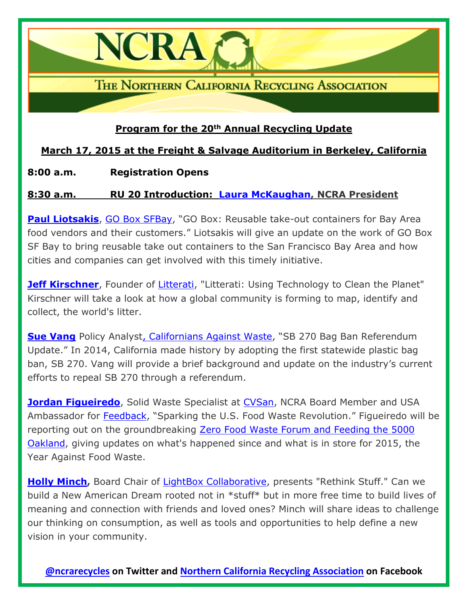THE NORTHERN CALIFORNIA RECYCLING ASSOCIATION

## **Program for the 20th Annual Recycling Update**

# **March 17, 2015 at the Freight & Salvage Auditorium in Berkeley, California**

### **8:00 a.m. Registration Opens**

**NCRA** 

### **8:30 a.m. RU 20 Introduction: [Laura McKaughan,](https://www.linkedin.com/pub/laura-mckaughan/8/aa6/3b2) NCRA President**

**[Paul Liotsakis](https://www.linkedin.com/pub/paul-liotsakis/3/96/3ab)**, [GO Box SFBay](https://goboxsfbay.com/), "GO Box: Reusable take-out containers for Bay Area food vendors and their customers." Liotsakis will give an update on the work of GO Box SF Bay to bring reusable take out containers to the San Francisco Bay Area and how cities and companies can get involved with this timely initiative.

**[Jeff Kirschner](https://www.linkedin.com/in/jeffkirschner)**, Founder of [Litterati,](http://www.litterati.org/) "Litterati: Using Technology to Clean the Planet" Kirschner will take a look at how a global community is forming to map, identify and collect, the world's litter.

**[Sue Vang](https://www.linkedin.com/pub/sue-vang/4/964/ba9)** Policy Analys[t,](http://www.cawrecycles.org/) [Californians Against Waste](http://www.cawrecycles.org/), "SB 270 Bag Ban Referendum Update." In 2014, California made history by adopting the first statewide plastic bag ban, SB 270. Vang will provide a brief background and update on the industry's current efforts to repeal SB 270 through a referendum.

**[Jordan Figueiredo](https://www.linkedin.com/pub/jordan-figueiredo/18/b78/781)**, Solid Waste Specialist at [CVSan,](http://www.cvsan.org/) NCRA Board Member and USA Ambassador for [Feedback](http://www.feedbackglobal.org/), "Sparking the U.S. Food Waste Revolution." Figueiredo will be reporting out on the groundbreaking [Zero Food Waste Forum and Feeding the 5000](http://www.endfoodwaste.org/events.html)  [Oakland,](http://www.endfoodwaste.org/events.html) giving updates on what's happened since and what is in store for 2015, the Year Against Food Waste.

**[Holly Minch,](https://www.linkedin.com/pub/holly-minch/1/b14/722)** Board Chair of [LightBox Collaborative,](http://www.lightboxcollaborative.com/) presents "Rethink Stuff." Can we build a New American Dream rooted not in \*stuff\* but in more free time to build lives of meaning and connection with friends and loved ones? Minch will share ideas to challenge our thinking on consumption, as well as tools and opportunities to help define a new vision in your community.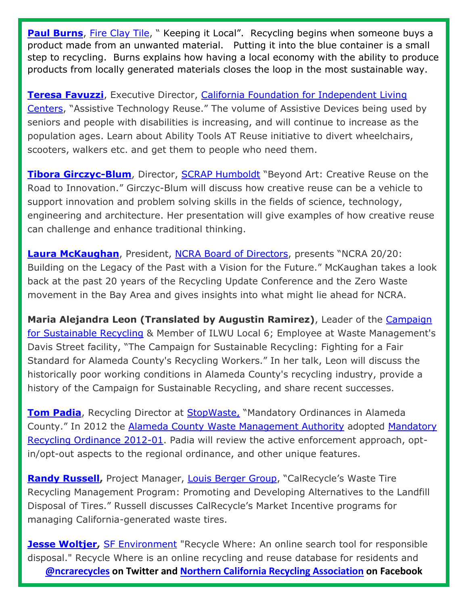**[Paul Burns](https://www.fireclaytile.com/who-we-are/)**, [Fire Clay Tile,](http://www.fireclaytile.com/) " Keeping it Local". Recycling begins when someone buys a product made from an unwanted material. Putting it into the blue container is a small step to recycling. Burns explains how having a local economy with the ability to produce products from locally generated materials closes the loop in the most sustainable way.

**[Teresa Favuzzi](http://www.linkedin.com/in/tfavuzzi)**, Executive Director, California Foundation for Independent Living [Centers](http://www.cfilc.org/), "Assistive Technology Reuse." The volume of Assistive Devices being used by seniors and people with disabilities is increasing, and will continue to increase as the population ages. Learn about Ability Tools AT Reuse initiative to divert wheelchairs, scooters, walkers etc. and get them to people who need them.

**[Tibora Girczyc-Blum](https://www.linkedin.com/in/tiborabea)**, Director, [SCRAP Humboldt](http://www.scraphumboldt.org/) "Beyond Art: Creative Reuse on the Road to Innovation." Girczyc-Blum will discuss how creative reuse can be a vehicle to support innovation and problem solving skills in the fields of science, technology, engineering and architecture. Her presentation will give examples of how creative reuse can challenge and enhance traditional thinking.

**[Laura McKaughan](https://www.linkedin.com/pub/laura-mckaughan/8/aa6/3b2)**, President, [NCRA Board of Directors](http://ncrarecycles.org/about/board/), presents "NCRA 20/20: Building on the Legacy of the Past with a Vision for the Future." McKaughan takes a look back at the past 20 years of the Recycling Update Conference and the Zero Waste movement in the Bay Area and gives insights into what might lie ahead for NCRA.

**Maria Alejandra Leon (Translated by Augustin Ramirez)**, Leader of the [Campaign](https://warehouseunion6.wordpress.com/2012/11/29/387/)  [for Sustainable Recycling](https://warehouseunion6.wordpress.com/2012/11/29/387/) & Member of ILWU Local 6; Employee at Waste Management's Davis Street facility, "The Campaign for Sustainable Recycling: Fighting for a Fair Standard for Alameda County's Recycling Workers." In her talk, Leon will discuss the historically poor working conditions in Alameda County's recycling industry, provide a history of the Campaign for Sustainable Recycling, and share recent successes.

**[Tom Padia](http://www.linkedin.com/pub/tom-padia/8/325/b7a/en)**, Recycling Director at StopWaste, "Mandatory Ordinances in Alameda County." In 2012 the [Alameda County Waste Management Authority](http://www.stopwaste.org/about/about-stopwaste) adopted [Mandatory](http://www.stopwaste.org/resource/reports/mandatory-recycling-and-single-use-bag-reduction-ordinances)  [Recycling Ordinance 2012-01.](http://www.stopwaste.org/resource/reports/mandatory-recycling-and-single-use-bag-reduction-ordinances) Padia will review the active enforcement approach, optin/opt-out aspects to the regional ordinance, and other unique features.

**[Randy Russell,](https://www.linkedin.com/pub/randy-russell/9/60/588)** Project Manager, [Louis Berger Group](http://www.louisberger.com/), "CalRecycle's Waste Tire Recycling Management Program: Promoting and Developing Alternatives to the Landfill Disposal of Tires." Russell discusses CalRecycle's Market Incentive programs for managing California-generated waste tires.

**[@ncrarecycles](https://twitter.com/ncrarecycles) on Twitter and [Northern California Recycling Association](https://www.facebook.com/pages/Northern-California-Recycling-Association-NCRA/117577201594520) on Facebook [Jesse Woltjer,](https://www.linkedin.com/in/jessewoltjer)** [SF Environment](http://www.sfenvironment.org/) "Recycle Where: An online search tool for responsible disposal." Recycle Where is an online recycling and reuse database for residents and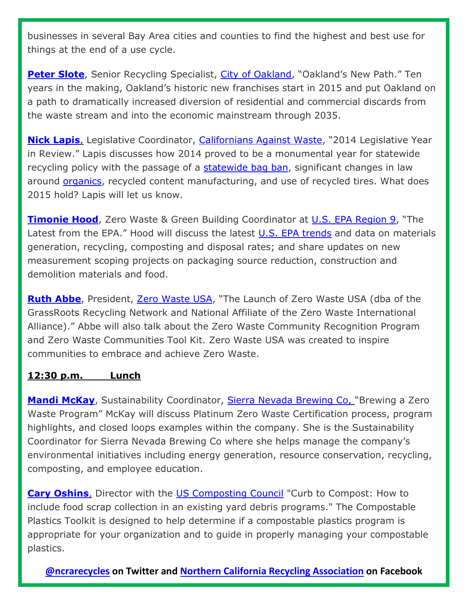businesses in several Bay Area cities and counties to find the highest and best use for things at the end of a use cycle.

**[Peter Slote](http://www.linkedin.com/pub/peter-slote/4/757/723)**, Senior Recycling Specialist, [City of Oakland,](http://www2.oaklandnet.com/Government/o/PWA/o/FE/s/GAR/index.htm) "Oakland's New Path." Ten years in the making, Oakland's historic new franchises start in 2015 and put Oakland on a path to dramatically increased diversion of residential and commercial discards from the waste stream and into the economic mainstream through 2035.

**[Nick Lapis](http://www.cawrecycles.org/about/staff/nick_lapis)**, Legislative Coordinator, [Californians Against Waste](http://www.cawrecycles.org/), "2014 Legislative Year in Review." Lapis discusses how 2014 proved to be a monumental year for statewide recycling policy with the passage of a [statewide bag ban,](http://www.huffingtonpost.com/news/california-plastic-bag-ban/) significant changes in law around [organics,](http://www.biocycle.net/2014/09/30/californias-new-laws-to-accelerate-organics-recycling/) recycled content manufacturing, and use of recycled tires. What does 2015 hold? Lapis will let us know.

**[Timonie Hood](https://www.linkedin.com/in/timoniehood)**, Zero Waste & Green Building Coordinator at [U.S. EPA Region 9](http://www2.epa.gov/aboutepa/epa-region-9-pacific-southwest), "The Latest from the EPA." Hood will discuss the latest [U.S. EPA trends](http://www.epa.gov/osw/nonhaz/municipal/pubs/2012_msw_fs.pdf) and data on materials generation, recycling, composting and disposal rates; and share updates on new measurement scoping projects on packaging source reduction, construction and demolition materials and food.

**[Ruth Abbe](http://altamonteab.org/index.php/2-uncategorised/35-ruth-abbe-board-chair)**, President, [Zero Waste USA](http://www.grrn.org/), "The Launch of Zero Waste USA (dba of the GrassRoots Recycling Network and National Affiliate of the Zero Waste International Alliance)." Abbe will also talk about the Zero Waste Community Recognition Program and Zero Waste Communities Tool Kit. Zero Waste USA was created to inspire communities to embrace and achieve Zero Waste.

#### **12:30 p.m. Lunch**

**[Mandi McKay](http://www.linkedin.com/pub/mandi-mckay/17/702/803/en)**, Sustainability Coordinator, Sierra Nevada Brewing Co, "Brewing a Zero Waste Program" McKay will discuss Platinum Zero Waste Certification process, program highlights, and closed loops examples within the company. She is the Sustainability Coordinator for Sierra Nevada Brewing Co where she helps manage the company's environmental initiatives including energy generation, resource conservation, recycling, composting, and employee education.

**[Cary Oshins](http://www.linkedin.com/in/caryoshins/en)**, Director with the [US Composting Council](http://compostingcouncil.org/) "Curb to Compost: How to include food scrap collection in an existing yard debris programs." The Compostable Plastics Toolkit is designed to help determine if a compostable plastics program is appropriate for your organization and to guide in properly managing your compostable plastics.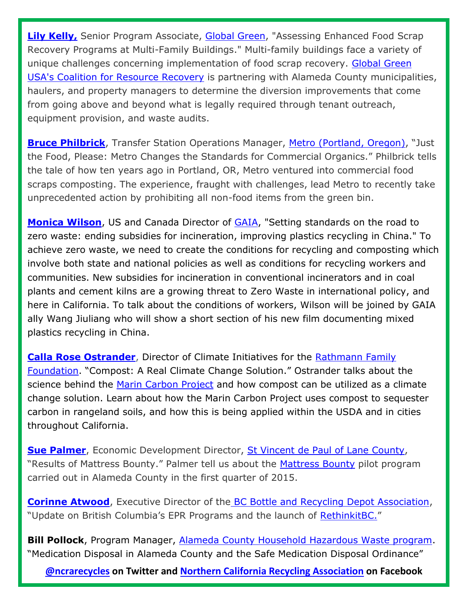**[Lily Kelly,](https://www.linkedin.com/pub/laura-%22lily%22-kelly/19/665/5b5)** Senior Program Associate, [Global Green,](http://www.globalgreen.org/) "Assessing Enhanced Food Scrap Recovery Programs at Multi-Family Buildings." Multi-family buildings face a variety of unique challenges concerning implementation of food scrap recovery. [Global Green](http://thecorr.org/)  [USA's Coalition for Resource Recovery](http://thecorr.org/) is partnering with Alameda County municipalities, haulers, and property managers to determine the diversion improvements that come from going above and beyond what is legally required through tenant outreach, equipment provision, and waste audits.

**[Bruce Philbrick](https://www.linkedin.com/pub/bruce-philbrick/35/23b/848)**, Transfer Station Operations Manager, [Metro \(Portland, Oregon\)](http://www.oregonmetro.gov/tools-living/garbage-and-recycling), "Just the Food, Please: Metro Changes the Standards for Commercial Organics." Philbrick tells the tale of how ten years ago in Portland, OR, Metro ventured into commercial food scraps composting. The experience, fraught with challenges, lead Metro to recently take unprecedented action by prohibiting all non-food items from the green bin.

**[Monica Wilson](https://www.linkedin.com/pub/monica-wilson/30/467/4a7)**, US and Canada Director of [GAIA,](http://www.no-burn.org/) "Setting standards on the road to zero waste: ending subsidies for incineration, improving plastics recycling in China." To achieve zero waste, we need to create the conditions for recycling and composting which involve both state and national policies as well as conditions for recycling workers and communities. New subsidies for incineration in conventional incinerators and in coal plants and cement kilns are a growing threat to Zero Waste in international policy, and here in California. To talk about the conditions of workers, Wilson will be joined by GAIA ally Wang Jiuliang who will show a short section of his new film documenting mixed plastics recycling in China.

**[Calla Rose Ostrander](https://www.linkedin.com/pub/calla-rose-ostrander/6/112/120)**, Director of Climate Initiatives for the [Rathmann Family](http://www.rathmannfamilyfoundation.org/home.html)  [Foundation](http://www.rathmannfamilyfoundation.org/home.html). "Compost: A Real Climate Change Solution." Ostrander talks about the science behind the [Marin Carbon Project](http://www.marincarbonproject.org/) and how compost can be utilized as a climate change solution. Learn about how the Marin Carbon Project uses compost to sequester carbon in rangeland soils, and how this is being applied within the USDA and in cities throughout California.

**[Sue Palmer](http://www.linkedin.com/pub/susan-palmer/83/635/a83)**, Economic Development Director, [St Vincent de Paul of Lane County,](http://www.svdp.us/) "Results of Mattress Bounty." Palmer tell us about the [Mattress Bounty](http://sfbay.ca/2015/01/26/turn-in-dumped-mattresses-for-cash/) pilot program carried out in Alameda County in the first quarter of 2015.

**[Corinne Atwood](http://ca.linkedin.com/pub/corinne-atwood-cae-scef-scrsm-ccp/15/978/853)**, Executive Director of the [BC Bottle and Recycling Depot Association,](http://www.bcbda.com/) "Update on British Columbia's EPR Programs and the launch of [RethinkitBC.](http://www.bcbda.com/)"

**Bill Pollock**, Program Manager, [Alameda County Household Hazardous Waste program.](http://www.stopwaste.org/recycling/residents/household-hazardous-waste) "Medication Disposal in Alameda County and the Safe Medication Disposal Ordinance"